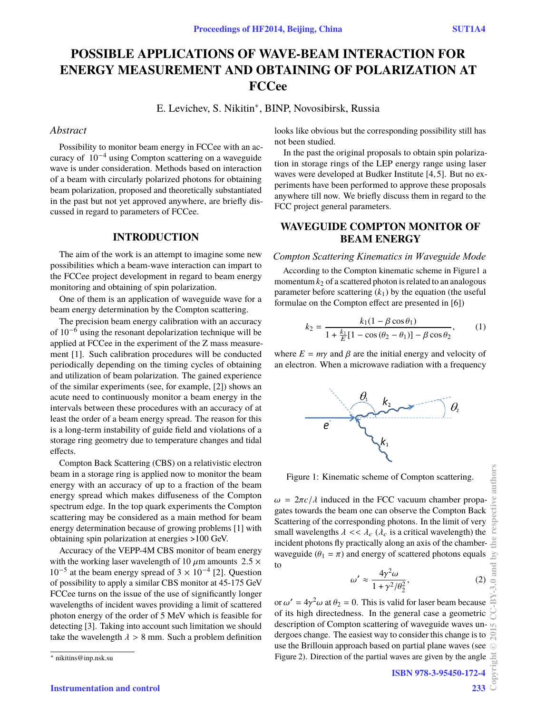# **POSSIBLE APPLICATIONS OF WAVE-BEAM INTERACTION FOR ENERGY MEASUREMENT AND OBTAINING OF POLARIZATION AT FCCee**

E. Levichev, S. Nikitin<sup>∗</sup> , BINP, Novosibirsk, Russia

### *Abstract*

Possibility to monitor beam energy in FCCee with an accuracy of  $10^{-4}$  using Compton scattering on a waveguide wave is under consideration. Methods based on interaction of a beam with circularly polarized photons for obtaining beam polarization, proposed and theoretically substantiated in the past but not yet approved anywhere, are briefly discussed in regard to parameters of FCCee.

### **INTRODUCTION**

The aim of the work is an attempt to imagine some new possibilities which a beam-wave interaction can impart to the FCCee project development in regard to beam energy monitoring and obtaining of spin polarization.

One of them is an application of waveguide wave for a beam energy determination by the Compton scattering.

The precision beam energy calibration with an accuracy of  $10^{-6}$  using the resonant depolarization technique will be applied at FCCee in the experiment of the Z mass measurement [1]. Such calibration procedures will be conducted periodically depending on the timing cycles of obtaining and utilization of beam polarization. The gained experience of the similar experiments (see, for example, [2]) shows an acute need to continuously monitor a beam energy in the intervals between these procedures with an accuracy of at least the order of a beam energy spread. The reason for this is a long-term instability of guide field and violations of a storage ring geometry due to temperature changes and tidal effects.

Compton Back Scattering (CBS) on a relativistic electron beam in a storage ring is applied now to monitor the beam energy with an accuracy of up to a fraction of the beam energy spread which makes diffuseness of the Compton spectrum edge. In the top quark experiments the Compton scattering may be considered as a main method for beam energy determination because of growing problems [1] with obtaining spin polarization at energies >100 GeV.

Accuracy of the VEPP-4M CBS monitor of beam energy with the working laser wavelength of 10  $\mu$ m amounts 2.5  $\times$ 10<sup>-5</sup> at the beam energy spread of  $3 \times 10^{-4}$  [2]. Question of possibility to apply a similar CBS monitor at 45-175 GeV FCCee turns on the issue of the use of significantly longer wavelengths of incident waves providing a limit of scattered photon energy of the order of 5 MeV which is feasible for detecting [3]. Taking into account such limitation we should take the wavelength  $\lambda > 8$  mm. Such a problem definition looks like obvious but the corresponding possibility still has not been studied.

In the past the original proposals to obtain spin polarization in storage rings of the LEP energy range using laser waves were developed at Budker Institute [4, 5]. But no experiments have been performed to approve these proposals anywhere till now. We briefly discuss them in regard to the FCC project general parameters.

## **WAVEGUIDE COMPTON MONITOR OF BEAM ENERGY**

*Compton Scattering Kinematics in Waveguide Mode*

According to the Compton kinematic scheme in Figure1 a momentum  $k_2$  of a scattered photon is related to an analogous parameter before scattering  $(k_1)$  by the equation (the useful formulae on the Compton effect are presented in [6])

$$
k_2 = \frac{k_1(1 - \beta \cos \theta_1)}{1 + \frac{k_1}{E} [1 - \cos(\theta_2 - \theta_1)] - \beta \cos \theta_2},
$$
 (1)

where  $E = m\gamma$  and  $\beta$  are the initial energy and velocity of an electron. When a microwave radiation with a frequency



Figure 1: Kinematic scheme of Compton scattering.

 $\omega = 2\pi c/\lambda$  induced in the FCC vacuum chamber propagates towards the beam one can observe the Compton Back Scattering of the corresponding photons. In the limit of very small wavelengths  $\lambda \ll \lambda_c$  ( $\lambda_c$  is a critical wavelength) the incident photons fly practically along an axis of the chamberwaveguide ( $\theta_1 = \pi$ ) and energy of scattered photons equals to

$$
\omega' \approx \frac{4\gamma^2 \omega}{1 + \gamma^2/\theta_2^2},\tag{2}
$$

or  $\omega' = 4\gamma^2 \omega$  at  $\theta_2 = 0$ . This is valid for laser beam because<br>of its bigh directedness. In the general case a geometric of its high directedness. In the general case a geometric description of Compton scattering of waveguide waves undergoes change. The easiest way to consider this change is to use the Brillouin approach based on partial plane waves (see Figure 2). Direction of the partial waves are given by the angle

<sup>∗</sup> nikitins@inp.nsk.su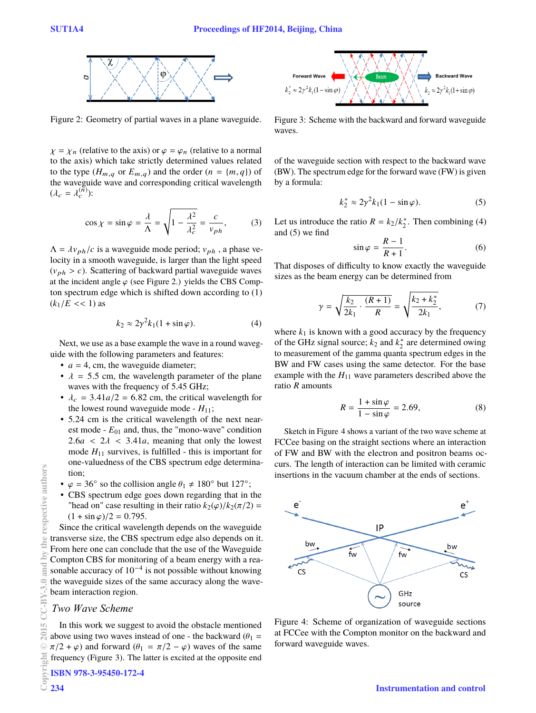

Figure 2: Geometry of partial waves in a plane waveguide.

 $\chi = \chi_n$  (relative to the axis) or  $\varphi = \varphi_n$  (relative to a normal to the axis) which take strictly determined values related to the type  $(H_{m,q}$  or  $E_{m,q})$  and the order  $(n = \{m,q\})$  of the waveguide wave and corresponding critical wavelength  $(\lambda_c = \lambda_c^{(\bar{n})})$ :

$$
\cos \chi = \sin \varphi = \frac{\lambda}{\Lambda} = \sqrt{1 - \frac{\lambda^2}{\lambda_c^2}} = \frac{c}{v_{ph}},
$$
 (3)

 $\Lambda = \frac{\lambda v_{ph}}{c}$  is a waveguide mode period;  $v_{ph}$ , a phase velocity in a smooth waveguide, is larger than the light speed  $(v_{ph} > c)$ . Scattering of backward partial waveguide waves at the incident angle  $\varphi$  (see Figure 2.) yields the CBS Compton spectrum edge which is shifted down according to (1)  $(k_1/E \ll 1)$  as

$$
k_2 \approx 2\gamma^2 k_1 (1 + \sin \varphi). \tag{4}
$$

Next, we use as a base example the wave in a round waveguide with the following parameters and features:

- $a = 4$ , cm, the waveguide diameter;
- $\lambda = 5.5$  cm, the wavelength parameter of the plane waves with the frequency of 5.45 GHz;
- $\lambda_c = 3.41a/2 = 6.82$  cm, the critical wavelength for the lowest round waveguide mode -  $H_{11}$ ;
- 5.24 cm is the critical wavelength of the next nearest mode -  $E_{01}$  and, thus, the "mono-wave" condition  $2.6a < 2\lambda < 3.41a$ , meaning that only the lowest mode  $H_{11}$  survives, is fulfilled - this is important for one-valuedness of the CBS spectrum edge determination;
- $\varphi = 36^\circ$  so the collision angle  $\theta_1 \neq 180^\circ$  but  $127^\circ$ ;<br>• CBS spectrum edge goes down regarding that in
- CBS spectrum edge goes down regarding that in the "head on" case resulting in their ratio  $k_2(\varphi)/k_2(\pi/2)$  =  $(1 + \sin \varphi)/2 = 0.795$ .

Since the critical wavelength depends on the waveguide transverse size, the CBS spectrum edge also depends on it. From here one can conclude that the use of the Waveguide Compton CBS for monitoring of a beam energy with a reasonable accuracy of  $10^{-4}$  is not possible without knowing the waveguide sizes of the same accuracy along the wavebeam interaction region.

#### *Two Wave Scheme*

In this work we suggest to avoid the obstacle mentioned above using two waves instead of one - the backward ( $\theta_1$  =  $\pi/2 + \varphi$ ) and forward  $(\theta_1 = \pi/2 - \varphi)$  waves of the same frequency (Figure 3). The latter is excited at the opposite end

**ISBN 978-3-95450-172-4**



Figure 3: Scheme with the backward and forward waveguide waves.

of the waveguide section with respect to the backward wave (BW). The spectrum edge for the forward wave (FW) is given by a formula:

$$
k_2^* \approx 2\gamma^2 k_1 (1 - \sin \varphi). \tag{5}
$$

Let us introduce the ratio  $R = k_2/k_2^*$ . Then combining (4) and (5) we find and (5) we find

$$
\sin \varphi = \frac{R-1}{R+1}.\tag{6}
$$

That disposes of difficulty to know exactly the waveguide sizes as the beam energy can be determined from

$$
\gamma = \sqrt{\frac{k_2}{2k_1} \cdot \frac{(R+1)}{R}} = \sqrt{\frac{k_2 + k_2^*}{2k_1}},\tag{7}
$$

where  $k_1$  is known with a good accuracy by the frequency of the GHz signal source;  $k_2$  and  $k_2^*$  are determined owing to measurement of the gamma quanta spectrum edges in the BW and FW cases using the same detector. For the base example with the  $H_{11}$  wave parameters described above the ratio  $R$  amounts

$$
R = \frac{1 + \sin \varphi}{1 - \sin \varphi} = 2.69,\tag{8}
$$

Sketch in Figure 4 shows a variant of the two wave scheme at FCCee basing on the straight sections where an interaction of FW and BW with the electron and positron beams occurs. The length of interaction can be limited with ceramic insertions in the vacuum chamber at the ends of sections.



Figure 4: Scheme of organization of waveguide sections at FCCee with the Compton monitor on the backward and forward waveguide waves.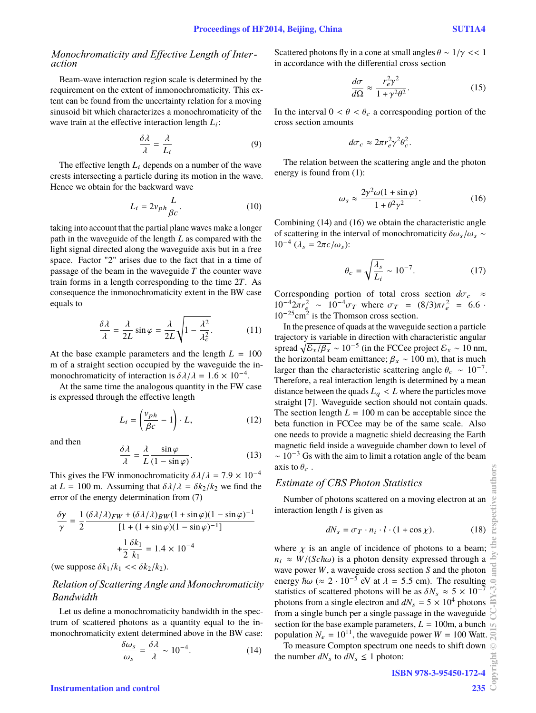#### *Monochromaticity and Effective Length of Inter- action*

Beam-wave interaction region scale is determined by the requirement on the extent of inmonochromaticity. This extent can be found from the uncertainty relation for a moving sinusoid bit which characterizes a monochromaticity of the wave train at the effective interaction length  $L_i$ :

$$
\frac{\delta \lambda}{\lambda} = \frac{\lambda}{L_i} \tag{9}
$$

λ The effective length  $L_i$  depends on a number of the wave crests intersecting a particle during its motion in the wave. Hence we obtain for the backward wave

$$
L_i = 2v_{ph} \frac{L}{\beta c}.
$$
 (10)

taking into account that the partial plane waves make a longer path in the waveguide of the length L as compared with the light signal directed along the waveguide axis but in a free space. Factor "2" arises due to the fact that in a time of passage of the beam in the waveguide  $T$  the counter wave train forms in a length corresponding to the time 2T. As consequence the inmonochromaticity extent in the BW case equals to

$$
\frac{\delta \lambda}{\lambda} = \frac{\lambda}{2L} \sin \varphi = \frac{\lambda}{2L} \sqrt{1 - \frac{\lambda^2}{\lambda_c^2}}.
$$
 (11)

At the base example parameters and the length  $L = 100$ m of a straight section occupied by the waveguide the inmonochromaticity of interaction is  $\delta \lambda / \lambda = 1.6 \times 10^{-4}$ .<br>At the same time the analogous quantity in the EW c

At the same time the analogous quantity in the FW case is expressed through the effective length

$$
L_i = \left(\frac{v_{ph}}{\beta c} - 1\right) \cdot L,\tag{12}
$$

and then

$$
\frac{\delta \lambda}{\lambda} = \frac{\lambda}{L} \frac{\sin \varphi}{(1 - \sin \varphi)}.
$$
(13)

This gives the FW inmonochromaticity  $\delta \lambda / \lambda = 7.9 \times 10^{-4}$ <br>at  $I = 100$  m. Assuming that  $\delta \lambda / \lambda = \delta k_0 / k_0$  we find the at  $L = 100$  m. Assuming that  $\delta \lambda / \lambda = \delta k_2 / k_2$  we find the error of the energy determination from (7)

$$
\frac{\delta \gamma}{\gamma} = \frac{1}{2} \frac{(\delta \lambda / \lambda)_{FW} + (\delta \lambda / \lambda)_{BW} (1 + \sin \varphi) (1 - \sin \varphi)^{-1}}{[1 + (1 + \sin \varphi)(1 - \sin \varphi)^{-1}]}
$$

$$
+ \frac{1}{2} \frac{\delta k_1}{k_1} = 1.4 \times 10^{-4}
$$

(we suppose  $\delta k_1/k_1 \ll \delta k_2/k_2$ ).

### *Relation of Scattering Angle and Monochromaticity Bandwidth*

Let us define a monochromaticity bandwidth in the spectrum of scattered photons as a quantity equal to the inmonochromaticity extent determined above in the BW case:

$$
\frac{\partial \omega_s}{\omega_s} = \frac{\partial A}{\lambda} \sim 10^{-4}.\tag{14}
$$

Scattered photons fly in a cone at small angles  $\theta \sim 1/\gamma << 1$ in accordance with the differential cross section

$$
\frac{d\sigma}{d\Omega} \approx \frac{r_e^2 \gamma^2}{1 + \gamma^2 \theta^2}.
$$
 (15)

In the interval  $0 < \theta < \theta_c$  a corresponding portion of the cross section amounts

$$
d\sigma_c \approx 2\pi r_e^2 \gamma^2 \theta_c^2.
$$

The relation between the scattering angle and the photon energy is found from (1):

$$
\omega_s \approx \frac{2\gamma^2 \omega (1 + \sin \varphi)}{1 + \theta^2 \gamma^2}.
$$
 (16)

Combining (14) and (16) we obtain the characteristic angle of scattering in the interval of monochromaticity  $\delta \omega_s / \omega_s \sim$ 10<sup>-4</sup> (λ<sub>s</sub> = 2πc/ω<sub>s</sub>):

$$
\theta_c = \sqrt{\frac{\lambda_s}{L_i}} \sim 10^{-7}.\tag{17}
$$

Corresponding portion of total cross section  $d\sigma_c \approx 10^{-4} \sigma \tau r^2 \approx 10^{-4} \sigma \tau$  where  $\sigma \tau = (8/3) \pi r^2 = 6.6$ .  $10^{-4}2\pi r_e^2 \sim 10^{-4}\sigma_T$  where  $\sigma_T = (8/3)\pi r_e^2 = 6.6 \cdot 10^{-25}$  cm<sup>2</sup> is the Thomson cross section 10−25cm<sup>2</sup> is the Thomson cross section.

In the presence of quads at the waveguide section a particle trajectory is variable in direction with characteristic angular spread  $\sqrt{\mathcal{E}_x/\beta_x} \sim 10^{-5}$  (in the FCCee project  $\mathcal{E}_x \sim 10$  nm, the horizontal beam emittance:  $\beta_x \sim 100$  m) that is much the horizontal beam emittance;  $\beta_x \sim 100$  m), that is much larger than the characteristic scattering angle  $\theta_c \sim 10^{-7}$ .<br>Therefore a real interaction length is determined by a mean Therefore, a real interaction length is determined by a mean distance between the quads  $L_a < L$  where the particles move straight [7]. Waveguide section should not contain quads. The section length  $L = 100$  m can be acceptable since the beta function in FCCee may be of the same scale. Also one needs to provide a magnetic shield decreasing the Earth magnetic field inside a waveguide chamber down to level of  $\sim 10^{-3}$  Gs with the aim to limit a rotation angle of the beam axis to  $\theta_c$ .

#### *Estimate of CBS Photon Statistics*

Number of photons scattered on a moving electron at an interaction length  $l$  is given as

$$
dN_s = \sigma_T \cdot n_i \cdot l \cdot (1 + \cos \chi). \tag{18}
$$

where  $\chi$  is an angle of incidence of photons to a beam;  $n_i \approx W/(Sc\hbar\omega)$  is a photon density expressed through a wave power  $W$ , a waveguide cross section  $S$  and the photon energy  $\hbar \omega \approx 2 \cdot 10^{-5}$  eV at  $\lambda = 5.5$  cm). The resulting statistics of scattered photons will be as  $\delta N \approx 5 \times 10^{-7}$ statistics of scattered photons will be as  $\delta N_s \approx 5 \times 10^{-7}$ photons from a single electron and  $dN_s = 5 \times 10^4$  photons from a single bunch per a single passage in the waveguide section for the base example parameters,  $L = 100$ m, a bunch population  $N_e = 10^{11}$ , the waveguide power  $W = 100$  Watt.

To measure Compton spectrum one needs to shift down the number  $dN_s$  to  $dN_s \leq 1$  photon:

#### **Instrumentation and control**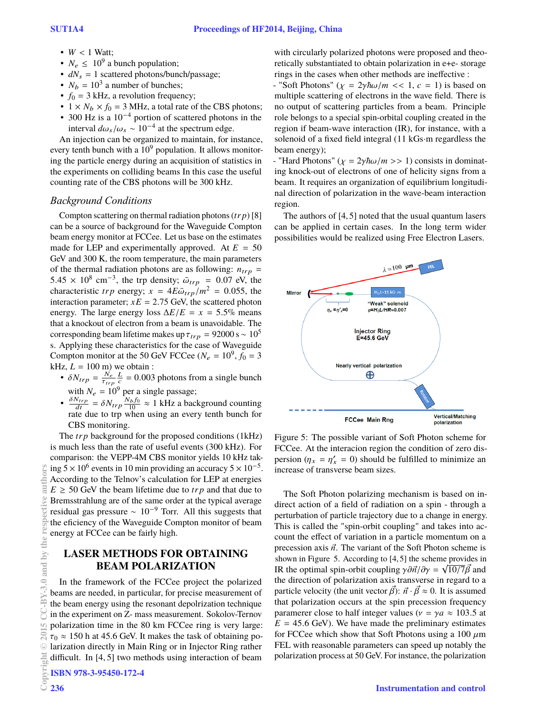- 
- $W < 1$  Watt;<br>•  $N_e \leq 10^9$  a bunch population;
- $dN_s = 1$  scattered photons/bunch/passage;
- $N_b = 10^3$  a number of bunches;
- $f_0 = 3$  kHz, a revolution frequency;
- $1 \times N_b \times f_0 = 3$  MHz, a total rate of the CBS photons;
- 300 Hz is a  $10^{-4}$  portion of scattered photons in the interval  $d\omega_s/\omega_s \sim 10^{-4}$  at the spectrum edge.<br>a injection can be organized to maintain for i

An injection can be organized to maintain, for instance, every tenth bunch with a  $10<sup>9</sup>$  population. It allows monitoring the particle energy during an acquisition of statistics in the experiments on colliding beams In this case the useful counting rate of the CBS photons will be 300 kHz.

### *Background Conditions*

Compton scattering on thermal radiation photons  $(tr p)$  [8] can be a source of background for the Waveguide Compton beam energy monitor at FCCee. Let us base on the estimates made for LEP and experimentally approved. At  $E = 50$ GeV and 300 K, the room temperature, the main parameters of the thermal radiation photons are as following:  $n_{trp}$  =  $5.45 \times 10^8$  cm<sup>-3</sup>, the trp density;  $\bar{\omega}_{trp} = 0.07$  eV, the characteristic trp energy:  $x = 4F\bar{\omega}_{cm}/m^2 = 0.055$  the characteristic *trp* energy;  $x = 4E\bar{\omega}_{trp}/m^2 = 0.055$ , the interaction parameter:  $rF = 2.75$  GeV the scattered photon interaction parameter;  $xE = 2.75$  GeV, the scattered photon energy. The large energy loss  $\Delta E/E = x = 5.5\%$  means that a knockout of electron from a beam is unavoidable. The corresponding beam lifetime makes up  $\tau_{trp} = 92000 \text{ s} \sim 10^5$ s. Applying these characteristics for the case of Waveguide Compton monitor at the 50 GeV FCCee ( $N_e = 10^9$ ,  $f_0 = 3$ kHz,  $L = 100$  m) we obtain :

- $\delta N_{trp} = \frac{N_e}{\tau_{trp}} \frac{L}{c} = 0.003$  photons from a single bunch with  $N_e = 10^9$  per a single passage;
- $\frac{\delta N_{trp}}{dt} = \delta N_{trp} \frac{N_b f_0}{10} \approx 1$  kHz a background counting<br>rate due to trp when using an every tenth bunch for rate due to trp when using an every tenth bunch for CBS monitoring.

The  $tr p$  background for the proposed conditions (1kHz) is much less than the rate of useful events (300 kHz). For comparison: the VEPP-4M CBS monitor yields 10 kHz taking  $5 \times 10^6$  events in 10 min providing an accuracy  $5 \times 10^{-5}$ . According to the Telnov's calculation for LEP at energies  $E \ge 50$  GeV the beam lifetime due to  $tr p$  and that due to Bremsstrahlung are of the same order at the typical average residual gas pressure  $\sim 10^{-9}$  Torr. All this suggests that the eficiency of the Waveguide Compton monitor of beam energy at FCCee can be fairly high.

# **LASER METHODS FOR OBTAINING BEAM POLARIZATION**

In the framework of the FCCee project the polarized beams are needed, in particular, for precise measurement of the beam energy using the resonant depolrization technique in the experiment on Z- mass measurement. Sokolov-Ternov polarization time in the 80 km FCCee ring is very large:  $\tau_0 \approx 150$  h at 45.6 GeV. It makes the task of obtaining polarization directly in Main Ring or in Injector Ring rather difficult. In [4, 5] two methods using interaction of beam **2015 CC-BY-3.0 and by the respective authors**

- "Soft Photons" ( $\chi = 2\gamma\hbar\omega/m << 1$ ,  $c = 1$ ) is based on multiple scattering of electrons in the wave field. There is no output of scattering particles from a beam. Principle role belongs to a special spin-orbital coupling created in the region if beam-wave interaction (IR), for instance, with a solenoid of a fixed field integral (11 kGs·m regardless the beam energy);

- "Hard Photons" ( $\chi = 2\gamma\hbar\omega/m >> 1$ ) consists in dominating knock-out of electrons of one of helicity signs from a beam. It requires an organization of equilibrium longitudinal direction of polarization in the wave-beam interaction region.

The authors of [4, 5] noted that the usual quantum lasers can be applied in certain cases. In the long term wider possibilities would be realized using Free Electron Lasers.



Figure 5: The possible variant of Soft Photon scheme for FCCee. At the interacion region the condition of zero dispersion ( $\eta_x = \eta'_x = 0$ ) should be fulfilled to minimize an increase of transverse beam sizes increase of transverse beam sizes.

The Soft Photon polarizing mechanism is based on indirect action of a field of radiation on a spin - through a perturbation of particle trajectory due to a change in energy. This is called the "spin-orbit coupling" and takes into account the effect of variation in a particle momentum on a precession axis  $\vec{n}$ . The variant of the Soft Photon scheme is shown in Figure 5. According to  $[4,5]$  the scheme provides in IR the optimal spin-orbit coupling  $\gamma \partial \vec{n}/\partial \gamma = \sqrt{10/7} \beta$  and the direction of polarization axis transverse in regard to a the direction of polarization axis transverse in regard to a particle velocity (the unit vector  $\vec{\beta}$ ):  $\vec{n} \cdot \vec{\beta} \approx 0$ . It is assumed that polarization occurs at the spin precession frequency paramerer close to half integer values ( $v = \gamma a \approx 103.5$  at  $E = 45.6$  GeV). We have made the preliminary estimates for FCCee which show that Soft Photons using a 100  $\mu$ m FEL with reasonable parameters can speed up notably the polarization process at 50 GeV. For instance, the polarization

the

**236**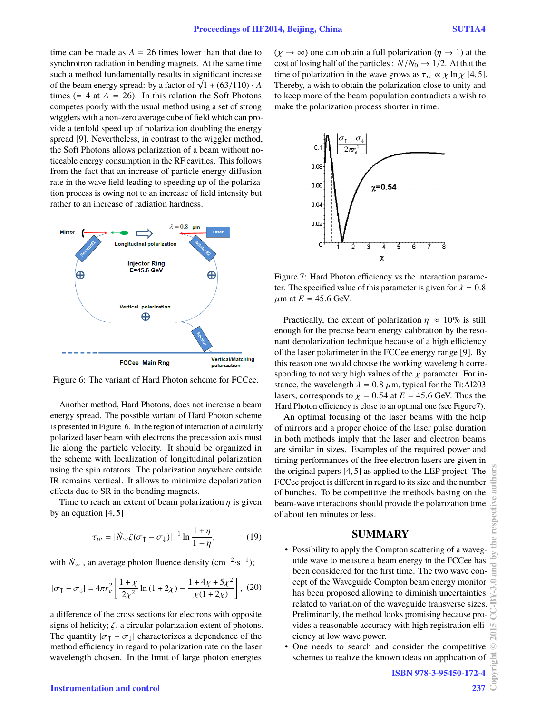time can be made as  $A = 26$  times lower than that due to synchrotron radiation in bending magnets. At the same time such a method fundamentally results in significant increase of the beam energy spread: by a factor of  $\sqrt{1 + (63/110) \cdot A}$ <br>times (= 4 at  $A = 26$ ). In this relation the Soft Photons times (= 4 at  $A = 26$ ). In this relation the Soft Photons competes poorly with the usual method using a set of strong wigglers with a non-zero average cube of field which can provide a tenfold speed up of polarization doubling the energy spread [9]. Nevertheless, in contrast to the wiggler method, the Soft Photons allows polarization of a beam without noticeable energy consumption in the RF cavities. This follows from the fact that an increase of particle energy diffusion rate in the wave field leading to speeding up of the polarization process is owing not to an increase of field intensity but rather to an increase of radiation hardness.



Figure 6: The variant of Hard Photon scheme for FCCee.

Another method, Hard Photons, does not increase a beam energy spread. The possible variant of Hard Photon scheme is presented in Figure 6. In the region of interaction of a cirularly polarized laser beam with electrons the precession axis must lie along the particle velocity. It should be organized in the scheme with localization of longitudinal polarization using the spin rotators. The polarization anywhere outside IR remains vertical. It allows to minimize depolarization effects due to SR in the bending magnets.

Time to reach an extent of beam polarization  $\eta$  is given by an equation  $[4, 5]$ 

$$
\tau_w = |\dot{N}_w \zeta (\sigma_\uparrow - \sigma_\downarrow)|^{-1} \ln \frac{1+\eta}{1-\eta},\tag{19}
$$

with  $\dot{N}_w$ , an average photon fluence density (cm<sup>-2</sup>·s<sup>-1</sup>);

$$
|\sigma_{\uparrow} - \sigma_{\downarrow}| = 4\pi r_e^2 \left[ \frac{1 + \chi}{2\chi^2} \ln(1 + 2\chi) - \frac{1 + 4\chi + 5\chi^2}{\chi(1 + 2\chi)} \right], (20)
$$

a difference of the cross sections for electrons with opposite signs of helicity;  $\zeta$ , a circular polarization extent of photons. The quantity  $|\sigma_{\uparrow} - \sigma_{\downarrow}|$  characterizes a dependence of the method efficiency in regard to polarization rate on the laser wavelength chosen. In the limit of large photon energies

 $(\chi \to \infty)$  one can obtain a full polarization  $(\eta \to 1)$  at the cost of losing half of the particles :  $N/N_0 \rightarrow 1/2$ . At that the time of polarization in the wave grows as  $\tau_w \propto \chi \ln \chi$  [4, 5]. Thereby, a wish to obtain the polarization close to unity and to keep more of the beam population contradicts a wish to make the polarization process shorter in time.



Figure 7: Hard Photon efficiency vs the interaction parameter. The specified value of this parameter is given for  $\lambda = 0.8$  $\mu$ m at  $E = 45.6$  GeV.

Practically, the extent of polarization  $\eta \approx 10\%$  is still enough for the precise beam energy calibration by the resonant depolarization technique because of a high efficiency of the laser polarimeter in the FCCee energy range [9]. By this reason one would choose the working wavelength corresponding to not very high values of the  $\chi$  parameter. For instance, the wavelength  $\lambda = 0.8 \mu$ m, typical for the Ti:Al203 lasers, corresponds to  $\chi = 0.54$  at  $E = 45.6$  GeV. Thus the Hard Photon efficiency is close to an optimal one (see Figure7).

An optimal focusing of the laser beams with the help of mirrors and a proper choice of the laser pulse duration in both methods imply that the laser and electron beams are similar in sizes. Examples of the required power and timing performances of the free electron lasers are given in the original papers [4, 5] as applied to the LEP project. The FCCee project is different in regard to its size and the number of bunches. To be competitive the methods basing on the beam-wave interactions should provide the polarization time of about ten minutes or less.

#### **SUMMARY**

- Possibility to apply the Compton scattering of a waveguide wave to measure a beam energy in the FCCee has been considered for the first time. The two wave concept of the Waveguide Compton beam energy monitor has been proposed allowing to diminish uncertainties related to variation of the waveguide transverse sizes. Preliminarily, the method looks promising because provides a reasonable accuracy with high registration efficiency at low wave power.
- One needs to search and consider the competitive schemes to realize the known ideas on application of